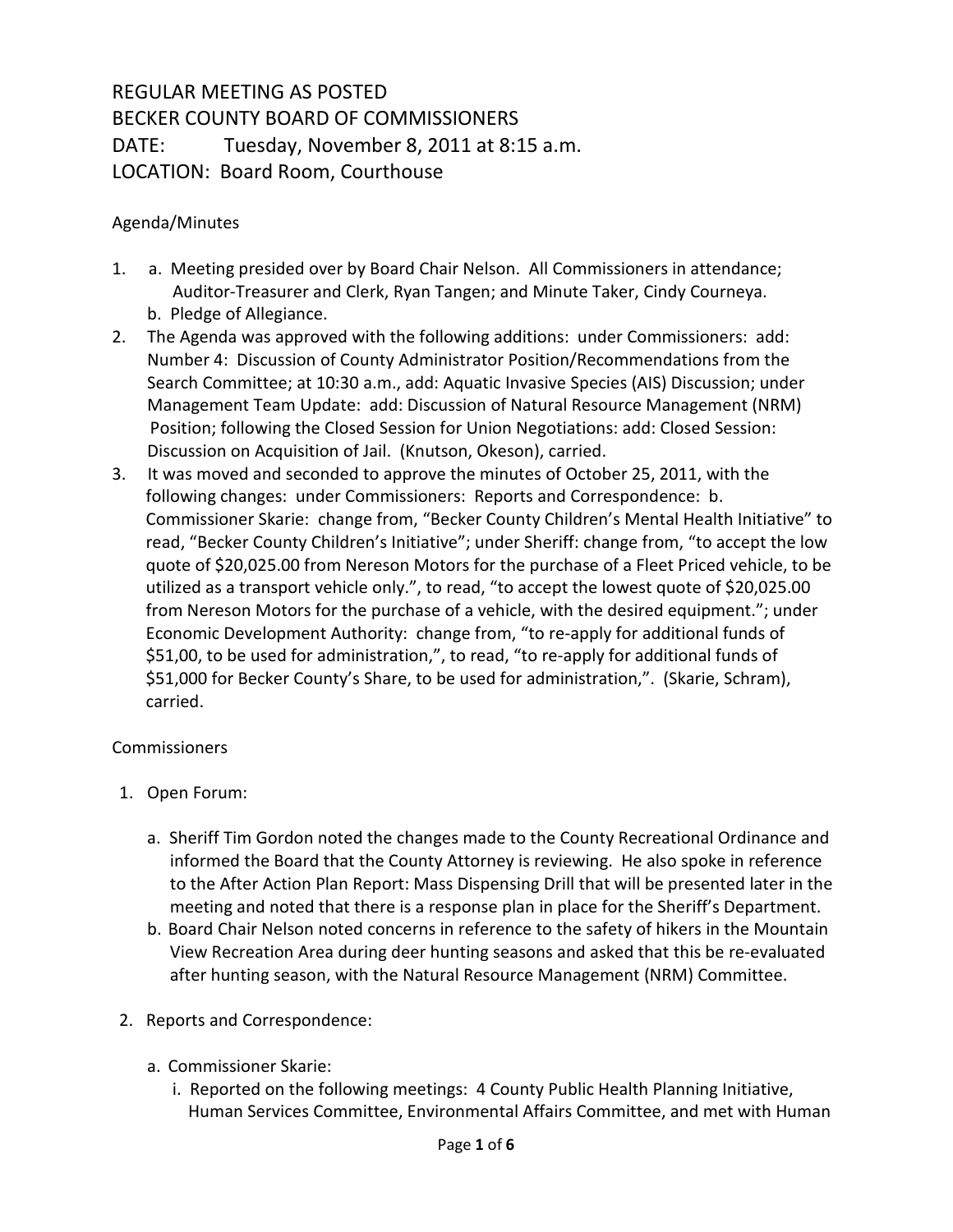## REGULAR MEETING AS POSTED BECKER COUNTY BOARD OF COMMISSIONERS DATE: Tuesday, November 8, 2011 at 8:15 a.m. LOCATION: Board Room, Courthouse

## Agenda/Minutes

- 1. a. Meeting presided over by Board Chair Nelson. All Commissioners in attendance; Auditor-Treasurer and Clerk, Ryan Tangen; and Minute Taker, Cindy Courneya. b. Pledge of Allegiance.
- 2. The Agenda was approved with the following additions: under Commissioners: add: Number 4: Discussion of County Administrator Position/Recommendations from the Search Committee; at 10:30 a.m., add: Aquatic Invasive Species (AIS) Discussion; under Management Team Update: add: Discussion of Natural Resource Management (NRM) Position; following the Closed Session for Union Negotiations: add: Closed Session: Discussion on Acquisition of Jail. (Knutson, Okeson), carried.
- 3. It was moved and seconded to approve the minutes of October 25, 2011, with the following changes: under Commissioners: Reports and Correspondence: b. Commissioner Skarie: change from, "Becker County Children's Mental Health Initiative" to read, "Becker County Children's Initiative"; under Sheriff: change from, "to accept the low quote of \$20,025.00 from Nereson Motors for the purchase of a Fleet Priced vehicle, to be utilized as a transport vehicle only.", to read, "to accept the lowest quote of \$20,025.00 from Nereson Motors for the purchase of a vehicle, with the desired equipment."; under Economic Development Authority: change from, "to re-apply for additional funds of \$51,00, to be used for administration,", to read, "to re-apply for additional funds of \$51,000 for Becker County's Share, to be used for administration,". (Skarie, Schram), carried.

## **Commissioners**

- 1. Open Forum:
	- a. Sheriff Tim Gordon noted the changes made to the County Recreational Ordinance and informed the Board that the County Attorney is reviewing. He also spoke in reference to the After Action Plan Report: Mass Dispensing Drill that will be presented later in the meeting and noted that there is a response plan in place for the Sheriff's Department.
	- b. Board Chair Nelson noted concerns in reference to the safety of hikers in the Mountain View Recreation Area during deer hunting seasons and asked that this be re-evaluated after hunting season, with the Natural Resource Management (NRM) Committee.
- 2. Reports and Correspondence:
	- a. Commissioner Skarie:
		- i. Reported on the following meetings: 4 County Public Health Planning Initiative, Human Services Committee, Environmental Affairs Committee, and met with Human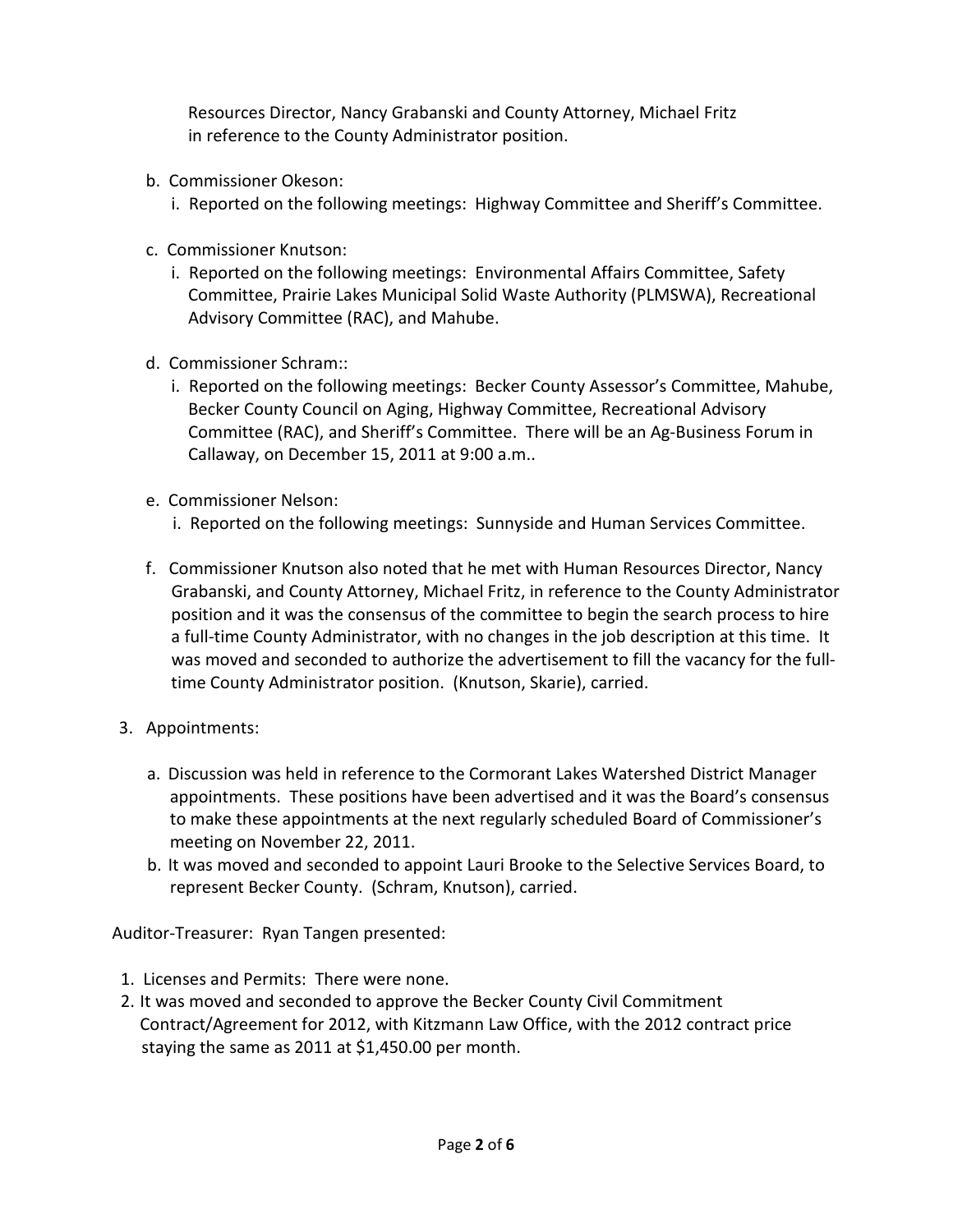Resources Director, Nancy Grabanski and County Attorney, Michael Fritz in reference to the County Administrator position.

- b. Commissioner Okeson:
	- i. Reported on the following meetings: Highway Committee and Sheriff's Committee.
- c. Commissioner Knutson:
	- i. Reported on the following meetings: Environmental Affairs Committee, Safety Committee, Prairie Lakes Municipal Solid Waste Authority (PLMSWA), Recreational Advisory Committee (RAC), and Mahube.
- d. Commissioner Schram::
	- i. Reported on the following meetings: Becker County Assessor's Committee, Mahube, Becker County Council on Aging, Highway Committee, Recreational Advisory Committee (RAC), and Sheriff's Committee. There will be an Ag-Business Forum in Callaway, on December 15, 2011 at 9:00 a.m..
- e. Commissioner Nelson:
	- i. Reported on the following meetings: Sunnyside and Human Services Committee.
- f. Commissioner Knutson also noted that he met with Human Resources Director, Nancy Grabanski, and County Attorney, Michael Fritz, in reference to the County Administrator position and it was the consensus of the committee to begin the search process to hire a full-time County Administrator, with no changes in the job description at this time. It was moved and seconded to authorize the advertisement to fill the vacancy for the full time County Administrator position. (Knutson, Skarie), carried.
- 3. Appointments:
	- a. Discussion was held in reference to the Cormorant Lakes Watershed District Manager appointments. These positions have been advertised and it was the Board's consensus to make these appointments at the next regularly scheduled Board of Commissioner's meeting on November 22, 2011.
	- b. It was moved and seconded to appoint Lauri Brooke to the Selective Services Board, to represent Becker County. (Schram, Knutson), carried.

Auditor-Treasurer: Ryan Tangen presented:

- 1. Licenses and Permits: There were none.
- 2. It was moved and seconded to approve the Becker County Civil Commitment Contract/Agreement for 2012, with Kitzmann Law Office, with the 2012 contract price staying the same as 2011 at \$1,450.00 per month.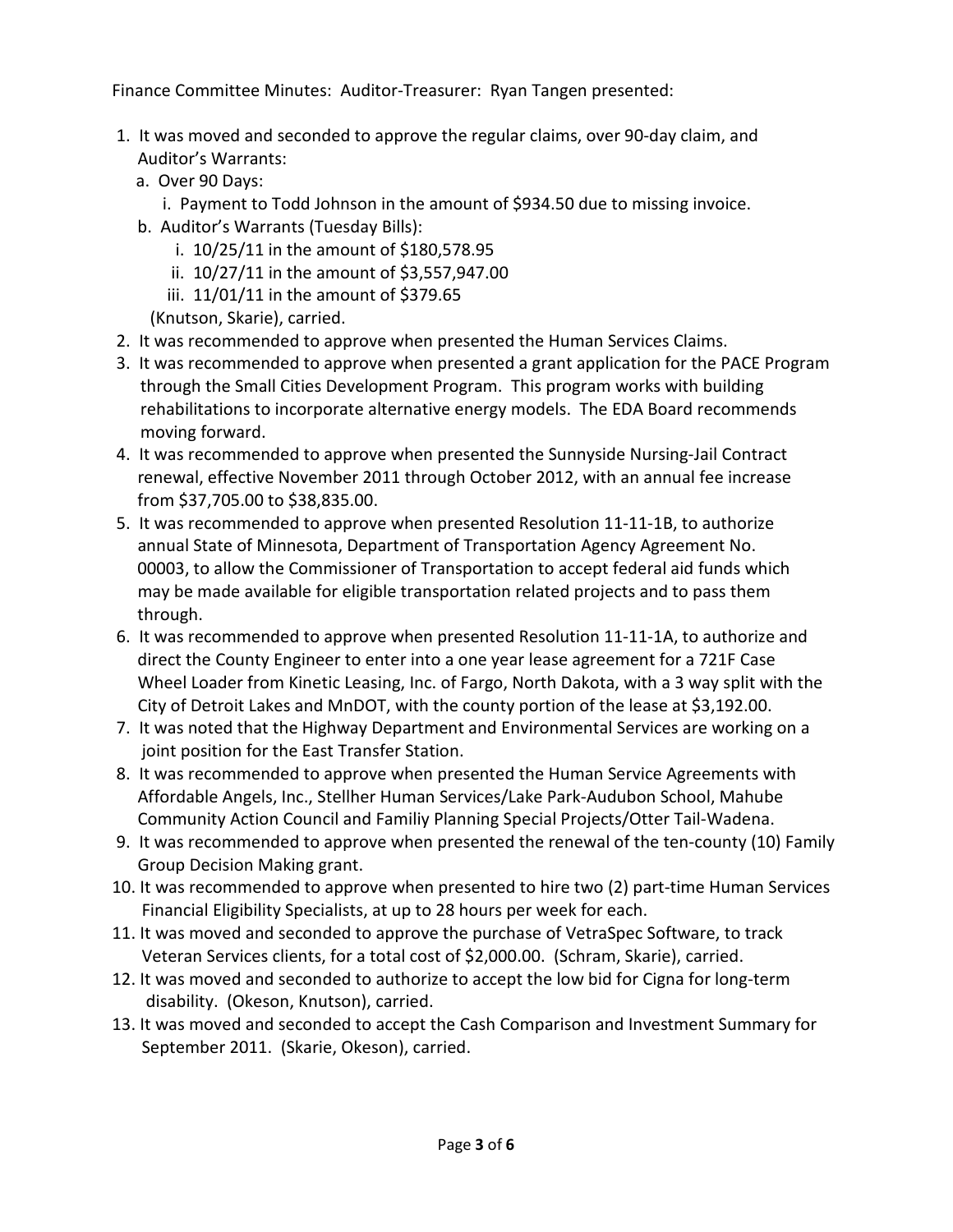Finance Committee Minutes: Auditor-Treasurer: Ryan Tangen presented:

- 1. It was moved and seconded to approve the regular claims, over 90-day claim, and Auditor's Warrants:
	- a. Over 90 Days:
		- i. Payment to Todd Johnson in the amount of \$934.50 due to missing invoice.
	- b. Auditor's Warrants (Tuesday Bills):
		- i. 10/25/11 in the amount of \$180,578.95
		- ii. 10/27/11 in the amount of \$3,557,947.00
		- iii. 11/01/11 in the amount of \$379.65
		- (Knutson, Skarie), carried.
- 2. It was recommended to approve when presented the Human Services Claims.
- 3. It was recommended to approve when presented a grant application for the PACE Program through the Small Cities Development Program. This program works with building rehabilitations to incorporate alternative energy models. The EDA Board recommends moving forward.
- 4. It was recommended to approve when presented the Sunnyside Nursing-Jail Contract renewal, effective November 2011 through October 2012, with an annual fee increase from \$37,705.00 to \$38,835.00.
- 5. It was recommended to approve when presented Resolution 11-11-1B, to authorize annual State of Minnesota, Department of Transportation Agency Agreement No. 00003, to allow the Commissioner of Transportation to accept federal aid funds which may be made available for eligible transportation related projects and to pass them through.
- 6. It was recommended to approve when presented Resolution 11-11-1A, to authorize and direct the County Engineer to enter into a one year lease agreement for a 721F Case Wheel Loader from Kinetic Leasing, Inc. of Fargo, North Dakota, with a 3 way split with the City of Detroit Lakes and MnDOT, with the county portion of the lease at \$3,192.00.
- 7. It was noted that the Highway Department and Environmental Services are working on a joint position for the East Transfer Station.
- 8. It was recommended to approve when presented the Human Service Agreements with Affordable Angels, Inc., Stellher Human Services/Lake Park-Audubon School, Mahube Community Action Council and Familiy Planning Special Projects/Otter Tail-Wadena.
- 9. It was recommended to approve when presented the renewal of the ten-county (10) Family Group Decision Making grant.
- 10. It was recommended to approve when presented to hire two (2) part-time Human Services Financial Eligibility Specialists, at up to 28 hours per week for each.
- 11. It was moved and seconded to approve the purchase of VetraSpec Software, to track Veteran Services clients, for a total cost of \$2,000.00. (Schram, Skarie), carried.
- 12. It was moved and seconded to authorize to accept the low bid for Cigna for long-term disability. (Okeson, Knutson), carried.
- 13. It was moved and seconded to accept the Cash Comparison and Investment Summary for September 2011. (Skarie, Okeson), carried.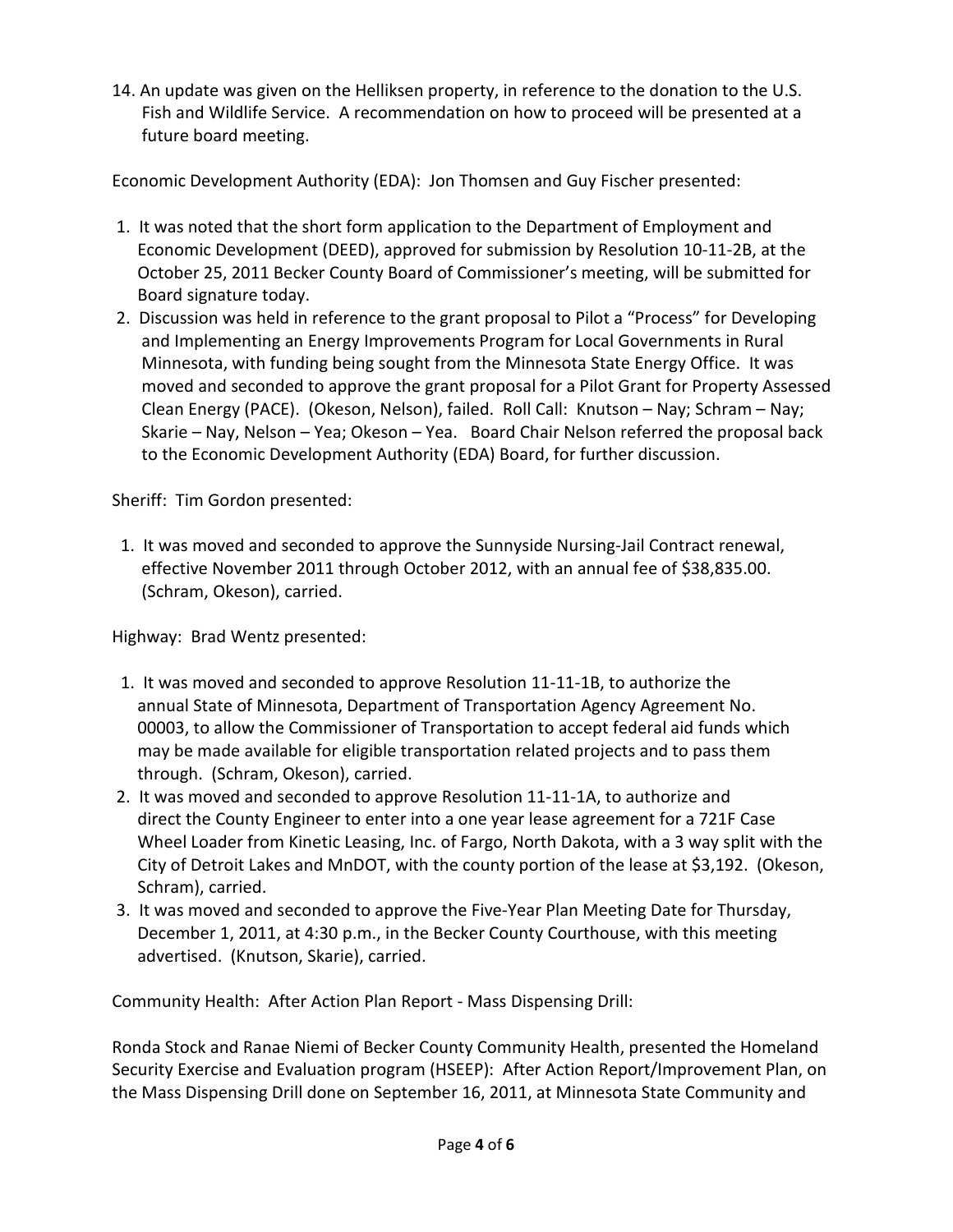14. An update was given on the Helliksen property, in reference to the donation to the U.S. Fish and Wildlife Service. A recommendation on how to proceed will be presented at a future board meeting.

Economic Development Authority (EDA): Jon Thomsen and Guy Fischer presented:

- 1. It was noted that the short form application to the Department of Employment and Economic Development (DEED), approved for submission by Resolution 10-11-2B, at the October 25, 2011 Becker County Board of Commissioner's meeting, will be submitted for Board signature today.
- 2. Discussion was held in reference to the grant proposal to Pilot a "Process" for Developing and Implementing an Energy Improvements Program for Local Governments in Rural Minnesota, with funding being sought from the Minnesota State Energy Office. It was moved and seconded to approve the grant proposal for a Pilot Grant for Property Assessed Clean Energy (PACE). (Okeson, Nelson), failed. Roll Call: Knutson – Nay; Schram – Nay; Skarie – Nay, Nelson – Yea; Okeson – Yea. Board Chair Nelson referred the proposal back to the Economic Development Authority (EDA) Board, for further discussion.

Sheriff: Tim Gordon presented:

 1. It was moved and seconded to approve the Sunnyside Nursing-Jail Contract renewal, effective November 2011 through October 2012, with an annual fee of \$38,835.00. (Schram, Okeson), carried.

Highway: Brad Wentz presented:

- 1. It was moved and seconded to approve Resolution 11-11-1B, to authorize the annual State of Minnesota, Department of Transportation Agency Agreement No. 00003, to allow the Commissioner of Transportation to accept federal aid funds which may be made available for eligible transportation related projects and to pass them through. (Schram, Okeson), carried.
- 2. It was moved and seconded to approve Resolution 11-11-1A, to authorize and direct the County Engineer to enter into a one year lease agreement for a 721F Case Wheel Loader from Kinetic Leasing, Inc. of Fargo, North Dakota, with a 3 way split with the City of Detroit Lakes and MnDOT, with the county portion of the lease at \$3,192. (Okeson, Schram), carried.
- 3. It was moved and seconded to approve the Five-Year Plan Meeting Date for Thursday, December 1, 2011, at 4:30 p.m., in the Becker County Courthouse, with this meeting advertised. (Knutson, Skarie), carried.

Community Health: After Action Plan Report - Mass Dispensing Drill:

Ronda Stock and Ranae Niemi of Becker County Community Health, presented the Homeland Security Exercise and Evaluation program (HSEEP): After Action Report/Improvement Plan, on the Mass Dispensing Drill done on September 16, 2011, at Minnesota State Community and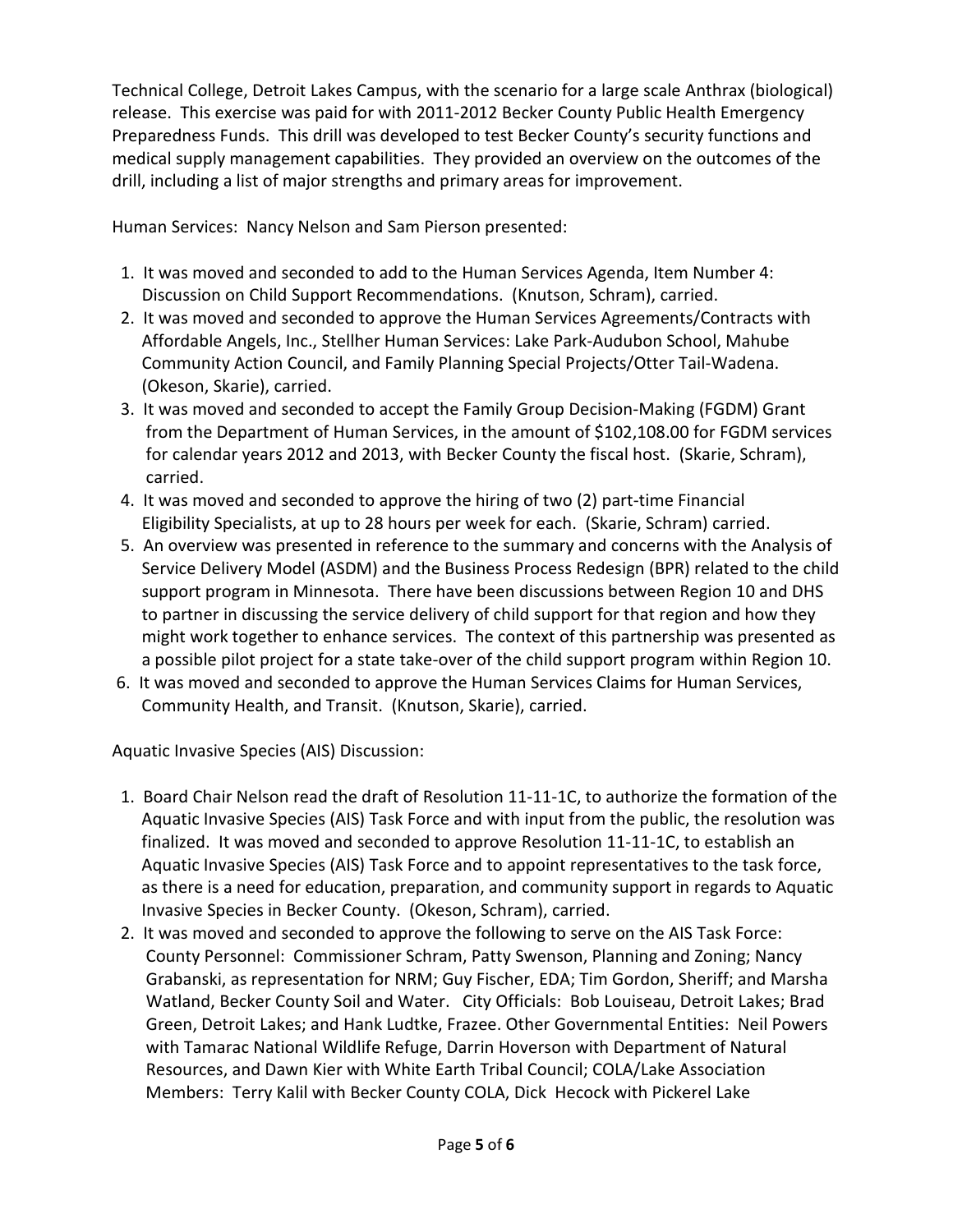Technical College, Detroit Lakes Campus, with the scenario for a large scale Anthrax (biological) release. This exercise was paid for with 2011-2012 Becker County Public Health Emergency Preparedness Funds. This drill was developed to test Becker County's security functions and medical supply management capabilities. They provided an overview on the outcomes of the drill, including a list of major strengths and primary areas for improvement.

Human Services: Nancy Nelson and Sam Pierson presented:

- 1. It was moved and seconded to add to the Human Services Agenda, Item Number 4: Discussion on Child Support Recommendations. (Knutson, Schram), carried.
- 2. It was moved and seconded to approve the Human Services Agreements/Contracts with Affordable Angels, Inc., Stellher Human Services: Lake Park-Audubon School, Mahube Community Action Council, and Family Planning Special Projects/Otter Tail-Wadena. (Okeson, Skarie), carried.
- 3. It was moved and seconded to accept the Family Group Decision-Making (FGDM) Grant from the Department of Human Services, in the amount of \$102,108.00 for FGDM services for calendar years 2012 and 2013, with Becker County the fiscal host. (Skarie, Schram), carried.
- 4. It was moved and seconded to approve the hiring of two (2) part-time Financial Eligibility Specialists, at up to 28 hours per week for each. (Skarie, Schram) carried.
- 5. An overview was presented in reference to the summary and concerns with the Analysis of Service Delivery Model (ASDM) and the Business Process Redesign (BPR) related to the child support program in Minnesota. There have been discussions between Region 10 and DHS to partner in discussing the service delivery of child support for that region and how they might work together to enhance services. The context of this partnership was presented as a possible pilot project for a state take-over of the child support program within Region 10.
- 6. It was moved and seconded to approve the Human Services Claims for Human Services, Community Health, and Transit. (Knutson, Skarie), carried.

Aquatic Invasive Species (AIS) Discussion:

- 1. Board Chair Nelson read the draft of Resolution 11-11-1C, to authorize the formation of the Aquatic Invasive Species (AIS) Task Force and with input from the public, the resolution was finalized. It was moved and seconded to approve Resolution 11-11-1C, to establish an Aquatic Invasive Species (AIS) Task Force and to appoint representatives to the task force, as there is a need for education, preparation, and community support in regards to Aquatic Invasive Species in Becker County. (Okeson, Schram), carried.
- 2. It was moved and seconded to approve the following to serve on the AIS Task Force: County Personnel: Commissioner Schram, Patty Swenson, Planning and Zoning; Nancy Grabanski, as representation for NRM; Guy Fischer, EDA; Tim Gordon, Sheriff; and Marsha Watland, Becker County Soil and Water. City Officials: Bob Louiseau, Detroit Lakes; Brad Green, Detroit Lakes; and Hank Ludtke, Frazee. Other Governmental Entities: Neil Powers with Tamarac National Wildlife Refuge, Darrin Hoverson with Department of Natural Resources, and Dawn Kier with White Earth Tribal Council; COLA/Lake Association Members: Terry Kalil with Becker County COLA, Dick Hecock with Pickerel Lake